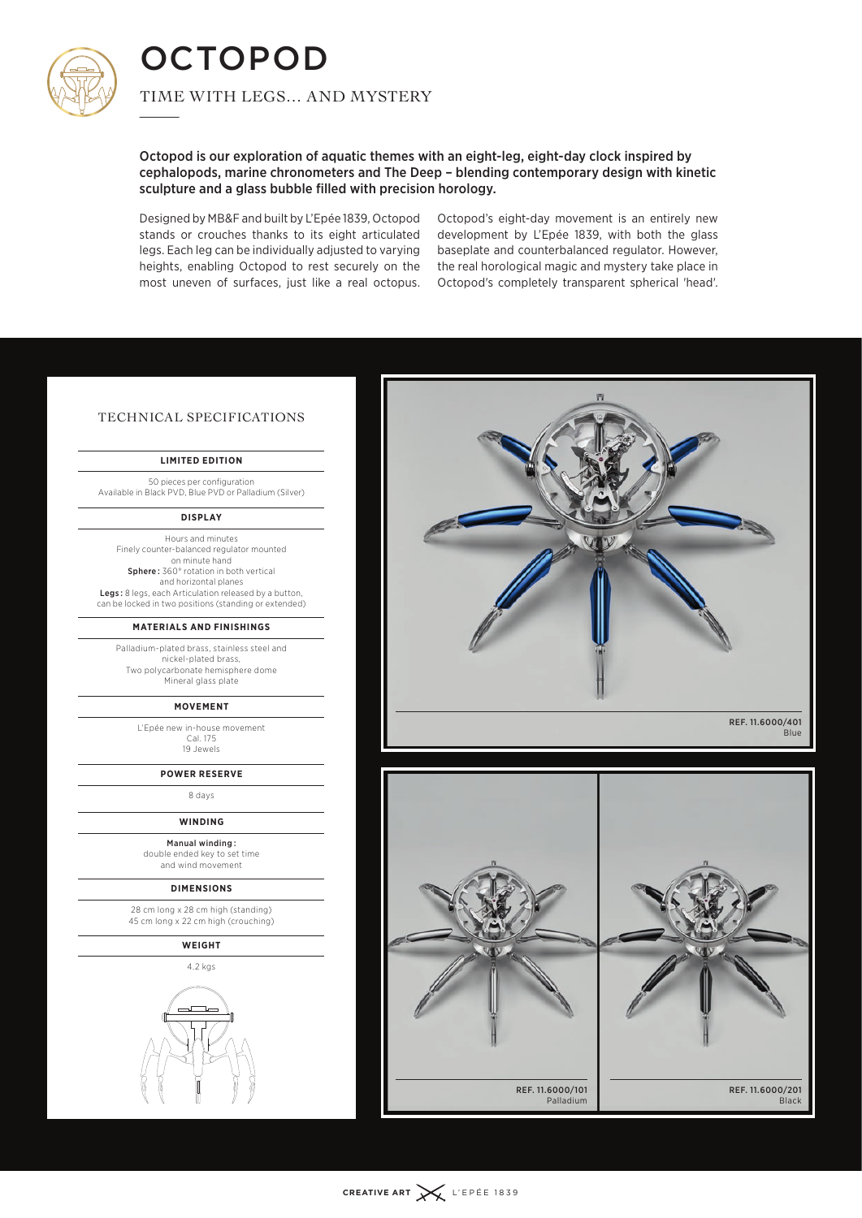

**OCTOPOD**  $\frac{1}{\sqrt{10}}$ 

Time with legs… and mystery

Octopod is our exploration of aquatic themes with an eight-leg, eight-day clock inspired by cephalopods, marine chronometers and The Deep – blending contemporary design with kinetic sculpture and a glass bubble filled with precision horology.

Designed by MB&F and built by L'Epée 1839, Octopod stands or crouches thanks to its eight articulated legs. Each leg can be individually adjusted to varying heights, enabling Octopod to rest securely on the most uneven of surfaces, just like a real octopus.

Octopod's eight-day movement is an entirely new development by L'Epée 1839, with both the glass baseplate and counterbalanced regulator. However, the real horological magic and mystery take place in Octopod's completely transparent spherical 'head'.

## Technical Specifications

## **Limited edition**

50 pieces per configuration Available in Black PVD, Blue PVD or Palladium (Silver)

## **Display**

Hours and minutes Finely counter-balanced regulator mounted on minute hand Sphere: 360° rotation in both vertical and horizontal planes Legs: 8 legs, each Articulation released by a button, can be locked in two positions (standing or extended)

## **Materials and finishings**

Palladium-plated brass, stainless steel and nickel-plated brass, Two polycarbonate hemisphere dome Mineral glass plate

#### **Movement**

L'Epée new in-house movement Cal. 175 19 Jewels

## **Power reserve**

8 days

**Winding**

Manual winding  : double ended key to set time and wind movement

#### **Dimensions**

28 cm long x 28 cm high (standing) 45 cm long x 22 cm high (crouching)

## **Weight**

4.2 kgs